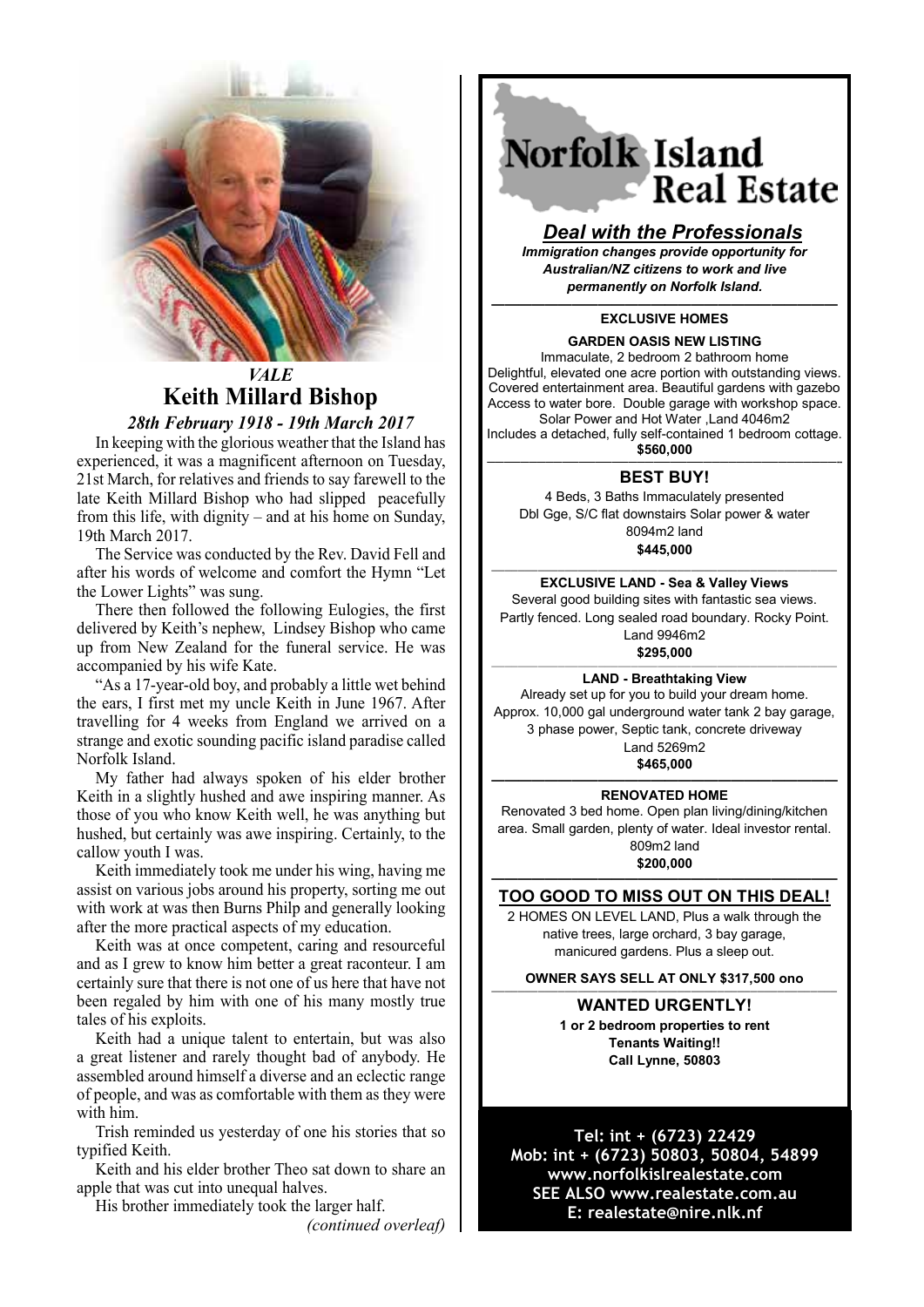

# *VALE* **Keith Millard Bishop**

*28th February 1918 - 19th March 2017* In keeping with the glorious weather that the Island has experienced, it was a magnificent afternoon on Tuesday, 21st March, for relatives and friends to say farewell to the late Keith Millard Bishop who had slipped peacefully from this life, with dignity – and at his home on Sunday, 19th March 2017.

The Service was conducted by the Rev. David Fell and after his words of welcome and comfort the Hymn "Let the Lower Lights" was sung.

There then followed the following Eulogies, the first delivered by Keith's nephew, Lindsey Bishop who came up from New Zealand for the funeral service. He was accompanied by his wife Kate.

"As a 17-year-old boy, and probably a little wet behind the ears, I first met my uncle Keith in June 1967. After travelling for 4 weeks from England we arrived on a strange and exotic sounding pacific island paradise called Norfolk Island.

My father had always spoken of his elder brother Keith in a slightly hushed and awe inspiring manner. As those of you who know Keith well, he was anything but hushed, but certainly was awe inspiring. Certainly, to the callow youth I was.

Keith immediately took me under his wing, having me assist on various jobs around his property, sorting me out with work at was then Burns Philp and generally looking after the more practical aspects of my education.

Keith was at once competent, caring and resourceful and as I grew to know him better a great raconteur. I am certainly sure that there is not one of us here that have not been regaled by him with one of his many mostly true tales of his exploits.

Keith had a unique talent to entertain, but was also a great listener and rarely thought bad of anybody. He assembled around himself a diverse and an eclectic range of people, and was as comfortable with them as they were with him.

Trish reminded us yesterday of one his stories that so typified Keith.

Keith and his elder brother Theo sat down to share an apple that was cut into unequal halves.

His brother immediately took the larger half.

*(continued overleaf)*

# Norfolk Island  $\blacksquare$  Real Estate

# *Deal with the Professionals*

*Immigration changes provide opportunity for Australian/NZ citizens to work and live permanently on Norfolk Island.*

#### **—————————————————————————— EXCLUSIVE HOMES**

## **GARDEN OASIS NEW LISTING**

Immaculate, 2 bedroom 2 bathroom home Delightful, elevated one acre portion with outstanding views. Covered entertainment area. Beautiful gardens with gazebo Access to water bore. Double garage with workshop space. Solar Power and Hot Water ,Land 4046m2 Includes a detached, fully self-contained 1 bedroom cottage. **\$560,000 ——————————————————————————————————————————--**

# **BEST BUY!**

4 Beds, 3 Baths Immaculately presented Dbl Gge, S/C flat downstairs Solar power & water 8094m2 land **\$445,000**

## **————————————————————————————————————————————————————**

**EXCLUSIVE LAND - Sea & Valley Views** Several good building sites with fantastic sea views. Partly fenced. Long sealed road boundary. Rocky Point. Land 9946m2

**\$295,000**

#### *————————————————————————————————————————————————————* **LAND - Breathtaking View**

Already set up for you to build your dream home. Approx. 10,000 gal underground water tank 2 bay garage, 3 phase power, Septic tank, concrete driveway Land 5269m2 **\$465,000**

#### **—————————————————————————— RENOVATED HOME**

Renovated 3 bed home. Open plan living/dining/kitchen area. Small garden, plenty of water. Ideal investor rental. 809m2 land

**\$200,000**

### **—————————————————————————— TOO GOOD TO MISS OUT ON THIS DEAL!**

2 HOMES ON LEVEL LAND, Plus a walk through the native trees, large orchard, 3 bay garage, manicured gardens. Plus a sleep out.

**OWNER SAYS SELL AT ONLY \$317,500 ono**

#### **———————————————————————————————————————————————————— WANTED URGENTLY! 1 or 2 bedroom properties to rent**

**Tenants Waiting!! Call Lynne, 50803**

**Tel: int + (6723) 22429 Mob: int + (6723) 50803, 50804, 54899 www.norfolkislrealestate.com SEE ALSO www.realestate.com.au E: realestate@nire.nlk.nf**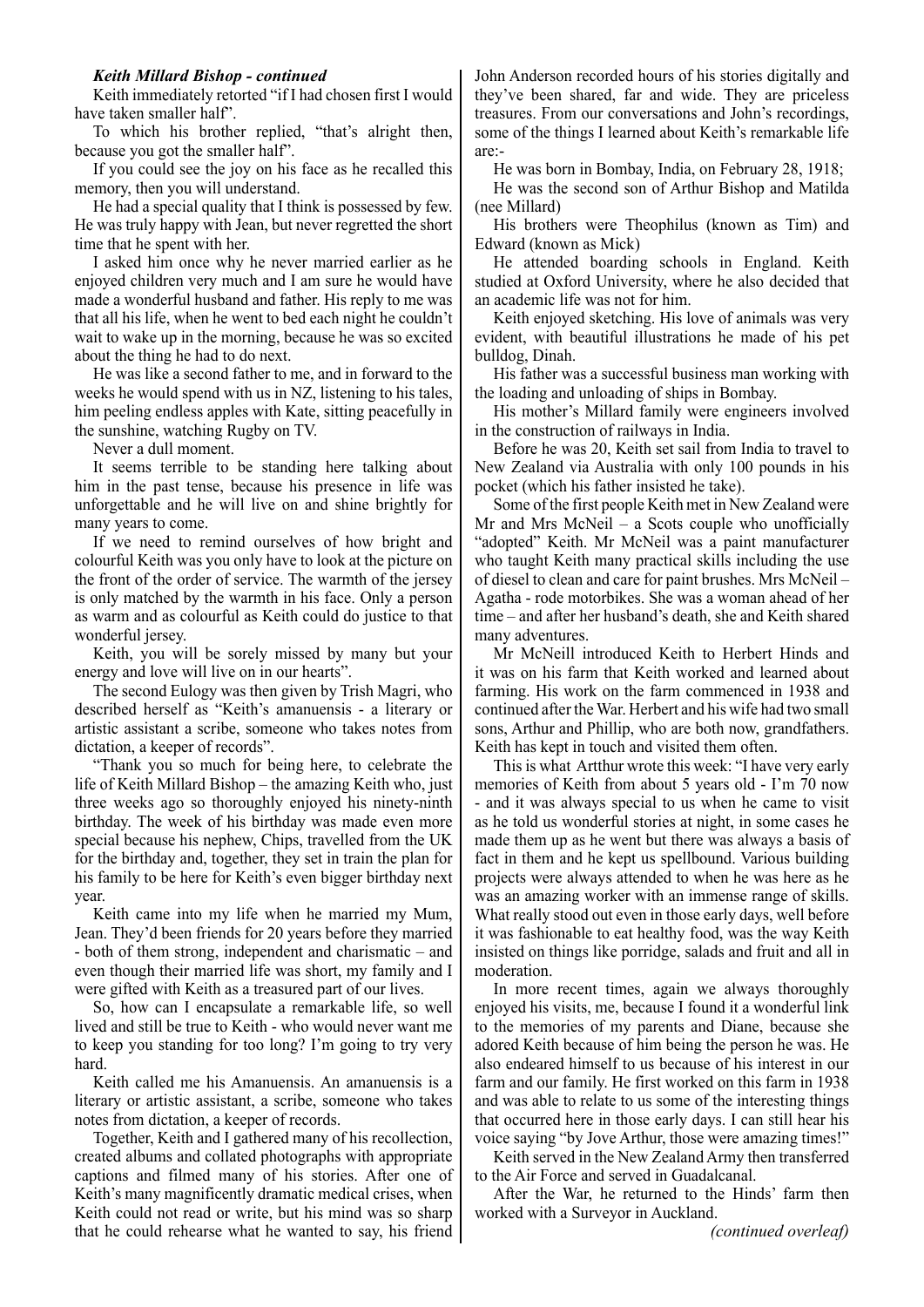## *Keith Millard Bishop - continued*

Keith immediately retorted "if I had chosen first I would have taken smaller half".

To which his brother replied, "that's alright then, because you got the smaller half".

If you could see the joy on his face as he recalled this memory, then you will understand.

He had a special quality that I think is possessed by few. He was truly happy with Jean, but never regretted the short time that he spent with her.

I asked him once why he never married earlier as he enjoyed children very much and I am sure he would have made a wonderful husband and father. His reply to me was that all his life, when he went to bed each night he couldn't wait to wake up in the morning, because he was so excited about the thing he had to do next.

He was like a second father to me, and in forward to the weeks he would spend with us in NZ, listening to his tales, him peeling endless apples with Kate, sitting peacefully in the sunshine, watching Rugby on TV.

Never a dull moment.

It seems terrible to be standing here talking about him in the past tense, because his presence in life was unforgettable and he will live on and shine brightly for many years to come.

If we need to remind ourselves of how bright and colourful Keith was you only have to look at the picture on the front of the order of service. The warmth of the jersey is only matched by the warmth in his face. Only a person as warm and as colourful as Keith could do justice to that wonderful jersey.

Keith, you will be sorely missed by many but your energy and love will live on in our hearts".

The second Eulogy was then given by Trish Magri, who described herself as "Keith's amanuensis - a literary or artistic assistant a scribe, someone who takes notes from dictation, a keeper of records".

"Thank you so much for being here, to celebrate the life of Keith Millard Bishop – the amazing Keith who, just three weeks ago so thoroughly enjoyed his ninety-ninth birthday. The week of his birthday was made even more special because his nephew, Chips, travelled from the UK for the birthday and, together, they set in train the plan for his family to be here for Keith's even bigger birthday next year.

Keith came into my life when he married my Mum, Jean. They'd been friends for 20 years before they married - both of them strong, independent and charismatic – and even though their married life was short, my family and I were gifted with Keith as a treasured part of our lives.

So, how can I encapsulate a remarkable life, so well lived and still be true to Keith - who would never want me to keep you standing for too long? I'm going to try very hard.

Keith called me his Amanuensis. An amanuensis is a literary or artistic assistant, a scribe, someone who takes notes from dictation, a keeper of records.

Together, Keith and I gathered many of his recollection, created albums and collated photographs with appropriate captions and filmed many of his stories. After one of Keith's many magnificently dramatic medical crises, when Keith could not read or write, but his mind was so sharp that he could rehearse what he wanted to say, his friend John Anderson recorded hours of his stories digitally and they've been shared, far and wide. They are priceless treasures. From our conversations and John's recordings, some of the things I learned about Keith's remarkable life are:-

He was born in Bombay, India, on February 28, 1918;

He was the second son of Arthur Bishop and Matilda (nee Millard)

His brothers were Theophilus (known as Tim) and Edward (known as Mick)

He attended boarding schools in England. Keith studied at Oxford University, where he also decided that an academic life was not for him.

Keith enjoyed sketching. His love of animals was very evident, with beautiful illustrations he made of his pet bulldog, Dinah.

His father was a successful business man working with the loading and unloading of ships in Bombay.

His mother's Millard family were engineers involved in the construction of railways in India.

Before he was 20, Keith set sail from India to travel to New Zealand via Australia with only 100 pounds in his pocket (which his father insisted he take).

Some of the first people Keith met in New Zealand were Mr and Mrs McNeil – a Scots couple who unofficially "adopted" Keith. Mr McNeil was a paint manufacturer who taught Keith many practical skills including the use of diesel to clean and care for paint brushes. Mrs McNeil – Agatha - rode motorbikes. She was a woman ahead of her time – and after her husband's death, she and Keith shared many adventures.

Mr McNeill introduced Keith to Herbert Hinds and it was on his farm that Keith worked and learned about farming. His work on the farm commenced in 1938 and continued after the War. Herbert and his wife had two small sons, Arthur and Phillip, who are both now, grandfathers. Keith has kept in touch and visited them often.

This is what Artthur wrote this week: "I have very early memories of Keith from about 5 years old - I'm 70 now - and it was always special to us when he came to visit as he told us wonderful stories at night, in some cases he made them up as he went but there was always a basis of fact in them and he kept us spellbound. Various building projects were always attended to when he was here as he was an amazing worker with an immense range of skills. What really stood out even in those early days, well before it was fashionable to eat healthy food, was the way Keith insisted on things like porridge, salads and fruit and all in moderation.

In more recent times, again we always thoroughly enjoyed his visits, me, because I found it a wonderful link to the memories of my parents and Diane, because she adored Keith because of him being the person he was. He also endeared himself to us because of his interest in our farm and our family. He first worked on this farm in 1938 and was able to relate to us some of the interesting things that occurred here in those early days. I can still hear his voice saying "by Jove Arthur, those were amazing times!"

Keith served in the New Zealand Army then transferred to the Air Force and served in Guadalcanal.

After the War, he returned to the Hinds' farm then worked with a Surveyor in Auckland.